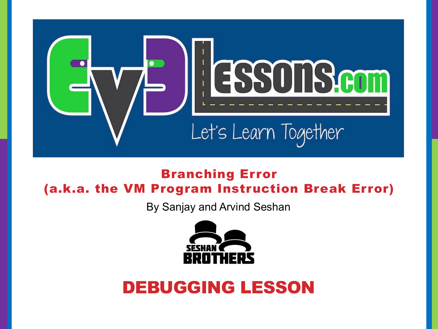

### Branching Error (a.k.a. the VM Program Instruction Break Error)

By Sanjay and Arvind Seshan



### DEBUGGING LESSON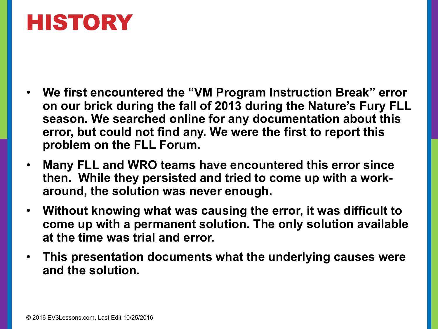# HISTORY

- **We first encountered the "VM Program Instruction Break" error on our brick during the fall of 2013 during the Nature's Fury FLL season. We searched online for any documentation about this error, but could not find any. We were the first to report this problem on the FLL Forum.**
- **Many FLL and WRO teams have encountered this error since then. While they persisted and tried to come up with a workaround, the solution was never enough.**
- **Without knowing what was causing the error, it was difficult to come up with a permanent solution. The only solution available at the time was trial and error.**
- **This presentation documents what the underlying causes were and the solution.**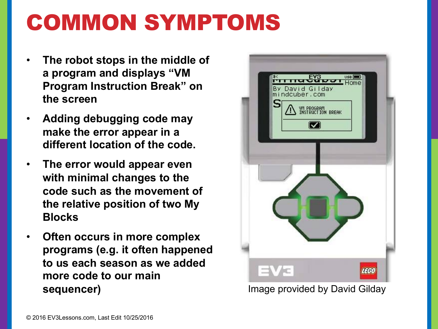# COMMON SYMPTOMS

- **The robot stops in the middle of a program and displays "VM Program Instruction Break" on the screen**
- **Adding debugging code may make the error appear in a different location of the code.**
- **The error would appear even with minimal changes to the code such as the movement of the relative position of two My Blocks**
- **Often occurs in more complex programs (e.g. it often happened to us each season as we added more code to our main sequencer)**



Image provided by David Gilday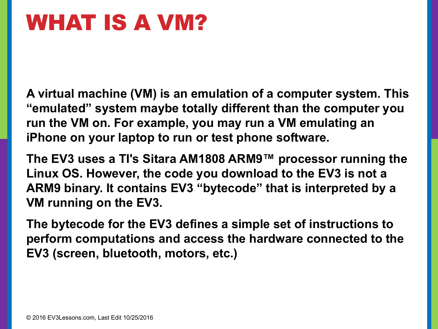# WHAT IS A VM?

**A virtual machine (VM) is an emulation of a computer system. This "emulated" system maybe totally different than the computer you run the VM on. For example, you may run a VM emulating an iPhone on your laptop to run or test phone software.**

**The EV3 uses a TI's Sitara AM1808 ARM9™ processor running the Linux OS. However, the code you download to the EV3 is not a ARM9 binary. It contains EV3 "bytecode" that is interpreted by a VM running on the EV3.** 

**The bytecode for the EV3 defines a simple set of instructions to perform computations and access the hardware connected to the EV3 (screen, bluetooth, motors, etc.)**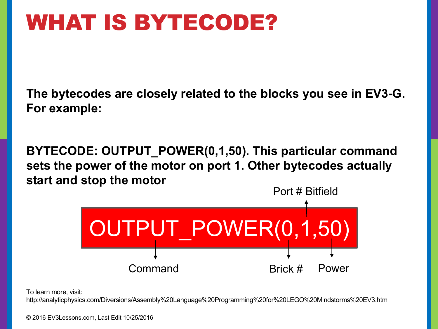# WHAT IS BYTECODE?

**The bytecodes are closely related to the blocks you see in EV3-G. For example:**

**BYTECODE: OUTPUT\_POWER(0,1,50). This particular command sets the power of the motor on port 1. Other bytecodes actually start and stop the motor**



To learn more, visit:

http://analyticphysics.com/Diversions/Assembly%20Language%20Programming%20for%20LEGO%20Mindstorms%20EV3.htm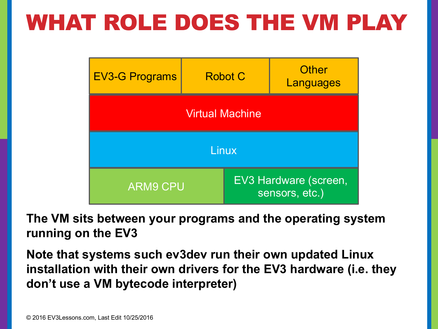# WHAT ROLE DOES THE VM PLAY

| <b>EV3-G Programs</b>  | <b>Robot C</b> | <b>Other</b><br>Languages               |  |
|------------------------|----------------|-----------------------------------------|--|
| <b>Virtual Machine</b> |                |                                         |  |
| Linux                  |                |                                         |  |
| <b>ARM9 CPU</b>        |                | EV3 Hardware (screen,<br>sensors, etc.) |  |

**The VM sits between your programs and the operating system running on the EV3**

**Note that systems such ev3dev run their own updated Linux installation with their own drivers for the EV3 hardware (i.e. they don't use a VM bytecode interpreter)**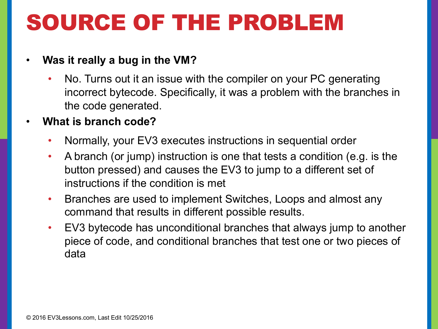# SOURCE OF THE PROBLEM

#### • **Was it really a bug in the VM?**

- No. Turns out it an issue with the compiler on your PC generating incorrect bytecode. Specifically, it was a problem with the branches in the code generated.
- **What is branch code?**
	- Normally, your EV3 executes instructions in sequential order
	- A branch (or jump) instruction is one that tests a condition (e.g. is the button pressed) and causes the EV3 to jump to a different set of instructions if the condition is met
	- Branches are used to implement Switches, Loops and almost any command that results in different possible results.
	- EV3 bytecode has unconditional branches that always jump to another piece of code, and conditional branches that test one or two pieces of data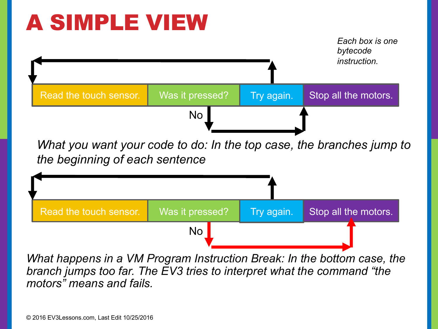# A SIMPLE VIEW



*What happens in a VM Program Instruction Break: In the bottom case, the branch jumps too far. The EV3 tries to interpret what the command "the motors" means and fails.*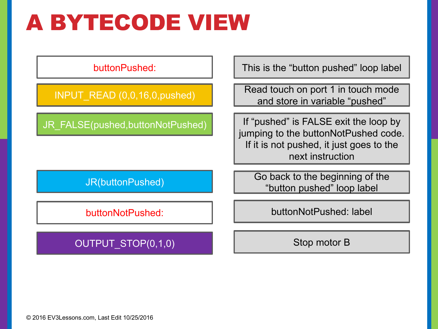# A BYTECODE VIEW

buttonPushed:

INPUT\_READ (0,0,16,0,pushed)

JR\_FALSE(pushed,buttonNotPushed)

JR(buttonPushed)

buttonNotPushed:

This is the "button pushed" loop label

Read touch on port 1 in touch mode and store in variable "pushed"

If "pushed" is FALSE exit the loop by jumping to the buttonNotPushed code. If it is not pushed, it just goes to the next instruction

Go back to the beginning of the "button pushed" loop label

buttonNotPushed: label

OUTPUT\_STOP(0,1,0)

Stop motor B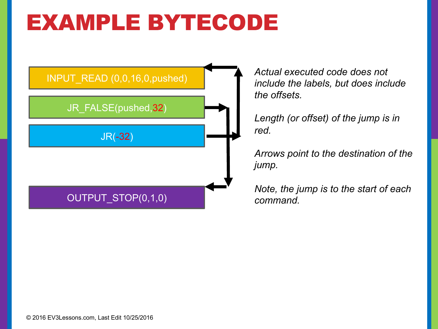# EXAMPLE BYTECODE



*Actual executed code does not include the labels, but does include the offsets.*

*Length (or offset) of the jump is in red.* 

*Arrows point to the destination of the jump.*

*Note, the jump is to the start of each command.*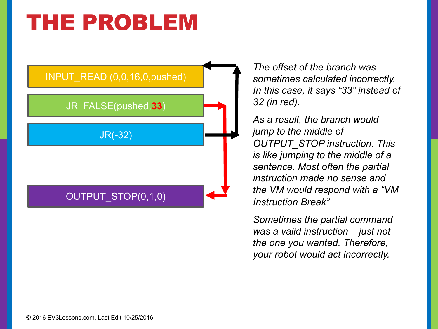### THE PROBLEM



*The offset of the branch was sometimes calculated incorrectly. In this case, it says "33" instead of 32 (in red).* 

*As a result, the branch would jump to the middle of OUTPUT\_STOP instruction. This is like jumping to the middle of a sentence. Most often the partial instruction made no sense and the VM would respond with a "VM Instruction Break"* 

*Sometimes the partial command was a valid instruction – just not the one you wanted. Therefore, your robot would act incorrectly.*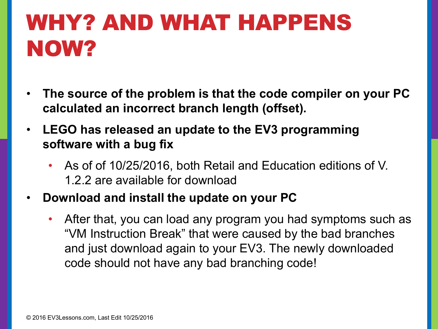# WHY? AND WHAT HAPPENS NOW?

- **The source of the problem is that the code compiler on your PC calculated an incorrect branch length (offset).**
- **LEGO has released an update to the EV3 programming software with a bug fix** 
	- As of of 10/25/2016, both Retail and Education editions of V. 1.2.2 are available for download
- **Download and install the update on your PC**
	- After that, you can load any program you had symptoms such as "VM Instruction Break" that were caused by the bad branches and just download again to your EV3. The newly downloaded code should not have any bad branching code!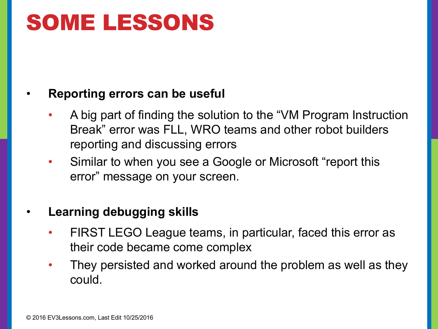# SOME LESSONS

#### • **Reporting errors can be useful**

- A big part of finding the solution to the "VM Program Instruction Break" error was FLL, WRO teams and other robot builders reporting and discussing errors
- Similar to when you see a Google or Microsoft "report this error" message on your screen.

### • **Learning debugging skills**

- FIRST LEGO League teams, in particular, faced this error as their code became come complex
- They persisted and worked around the problem as well as they could.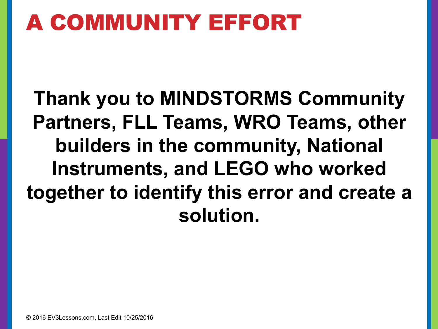# A COMMUNITY EFFORT

**Thank you to MINDSTORMS Community Partners, FLL Teams, WRO Teams, other builders in the community, National Instruments, and LEGO who worked together to identify this error and create a solution.**